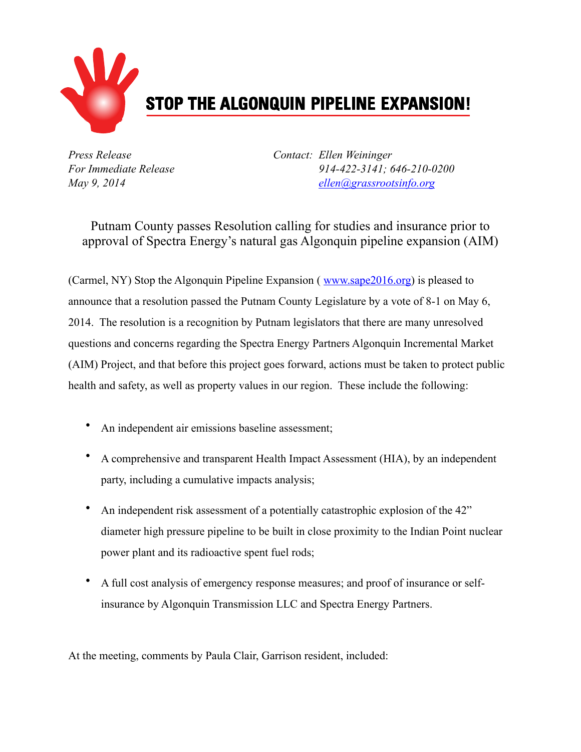

*Press Release Contact: Ellen Weininger For Immediate Release 914-422-3141; 646-210-0200 May 9, 2014 [ellen@grassrootsinfo.org](mailto:ellen@grassrootsinfo.org)*

Putnam County passes Resolution calling for studies and insurance prior to approval of Spectra Energy's natural gas Algonquin pipeline expansion (AIM)

(Carmel, NY) Stop the Algonquin Pipeline Expansion (*[www.sape2016.org](http://www.sape2016.org/)*) is pleased to announce that a resolution passed the Putnam County Legislature by a vote of 8-1 on May 6, 2014. The resolution is a recognition by Putnam legislators that there are many unresolved questions and concerns regarding the Spectra Energy Partners Algonquin Incremental Market (AIM) Project, and that before this project goes forward, actions must be taken to protect public health and safety, as well as property values in our region. These include the following:

- An independent air emissions baseline assessment;
- A comprehensive and transparent Health Impact Assessment (HIA), by an independent party, including a cumulative impacts analysis;
- An independent risk assessment of a potentially catastrophic explosion of the 42" diameter high pressure pipeline to be built in close proximity to the Indian Point nuclear power plant and its radioactive spent fuel rods;
- A full cost analysis of emergency response measures; and proof of insurance or selfinsurance by Algonquin Transmission LLC and Spectra Energy Partners.

At the meeting, comments by Paula Clair, Garrison resident, included: